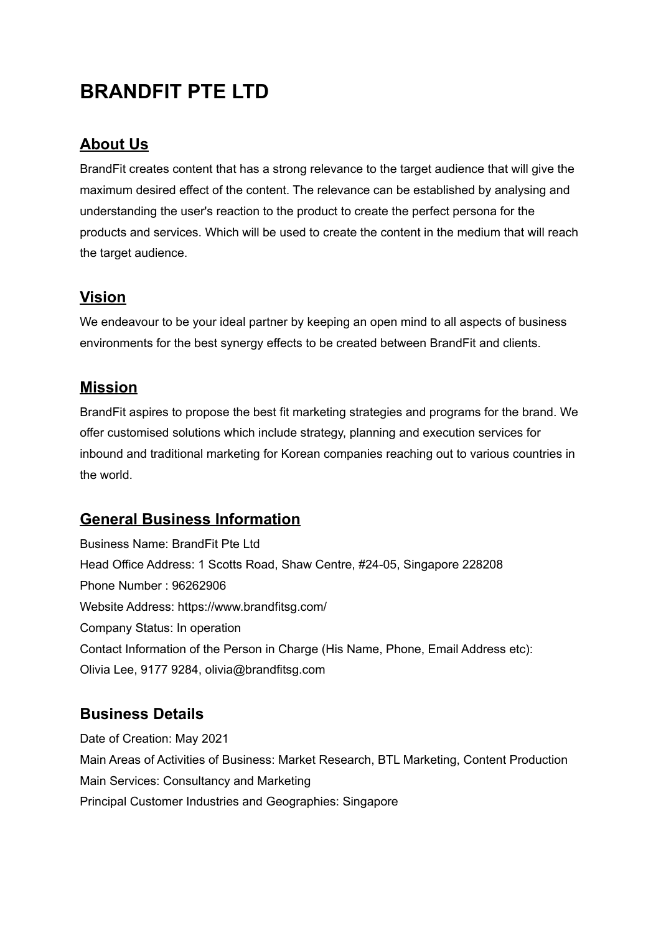# **BRANDFIT PTE LTD**

# **About Us**

BrandFit creates content that has a strong relevance to the target audience that will give the maximum desired effect of the content. The relevance can be established by analysing and understanding the user's reaction to the product to create the perfect persona for the products and services. Which will be used to create the content in the medium that will reach the target audience.

## **Vision**

We endeavour to be your ideal partner by keeping an open mind to all aspects of business environments for the best synergy effects to be created between BrandFit and clients.

## **Mission**

BrandFit aspires to propose the best fit marketing strategies and programs for the brand. We offer customised solutions which include strategy, planning and execution services for inbound and traditional marketing for Korean companies reaching out to various countries in the world.

# **General Business Information**

Business Name: BrandFit Pte Ltd Head Office Address: 1 Scotts Road, Shaw Centre, #24-05, Singapore 228208 Phone Number : 96262906 Website Address: https://www.brandfitsg.com/ Company Status: In operation Contact Information of the Person in Charge (His Name, Phone, Email Address etc): Olivia Lee, 9177 9284, olivia@brandfitsg.com

# **Business Details**

Date of Creation: May 2021 Main Areas of Activities of Business: Market Research, BTL Marketing, Content Production Main Services: Consultancy and Marketing Principal Customer Industries and Geographies: Singapore